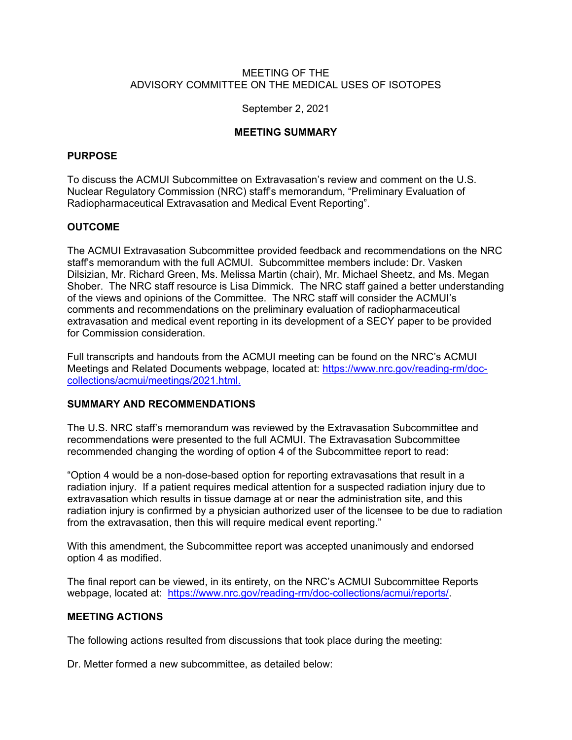# MEETING OF THE ADVISORY COMMITTEE ON THE MEDICAL USES OF ISOTOPES

## September 2, 2021

# **MEETING SUMMARY**

# **PURPOSE**

To discuss the ACMUI Subcommittee on Extravasation's review and comment on the U.S. Nuclear Regulatory Commission (NRC) staff's memorandum, "Preliminary Evaluation of Radiopharmaceutical Extravasation and Medical Event Reporting".

# **OUTCOME**

The ACMUI Extravasation Subcommittee provided feedback and recommendations on the NRC staff's memorandum with the full ACMUI. Subcommittee members include: Dr. Vasken Dilsizian, Mr. Richard Green, Ms. Melissa Martin (chair), Mr. Michael Sheetz, and Ms. Megan Shober. The NRC staff resource is Lisa Dimmick. The NRC staff gained a better understanding of the views and opinions of the Committee. The NRC staff will consider the ACMUI's comments and recommendations on the preliminary evaluation of radiopharmaceutical extravasation and medical event reporting in its development of a SECY paper to be provided for Commission consideration.

Full transcripts and handouts from the ACMUI meeting can be found on the NRC's ACMUI Meetings and Related Documents webpage, located at: https://www.nrc.gov/reading-rm/doccollections/acmui/meetings/2021.html.

## **SUMMARY AND RECOMMENDATIONS**

The U.S. NRC staff's memorandum was reviewed by the Extravasation Subcommittee and recommendations were presented to the full ACMUI. The Extravasation Subcommittee recommended changing the wording of option 4 of the Subcommittee report to read:

"Option 4 would be a non-dose-based option for reporting extravasations that result in a radiation injury. If a patient requires medical attention for a suspected radiation injury due to extravasation which results in tissue damage at or near the administration site, and this radiation injury is confirmed by a physician authorized user of the licensee to be due to radiation from the extravasation, then this will require medical event reporting."

With this amendment, the Subcommittee report was accepted unanimously and endorsed option 4 as modified.

The final report can be viewed, in its entirety, on the NRC's ACMUI Subcommittee Reports webpage, located at: https://www.nrc.gov/reading-rm/doc-collections/acmui/reports/.

## **MEETING ACTIONS**

The following actions resulted from discussions that took place during the meeting:

Dr. Metter formed a new subcommittee, as detailed below: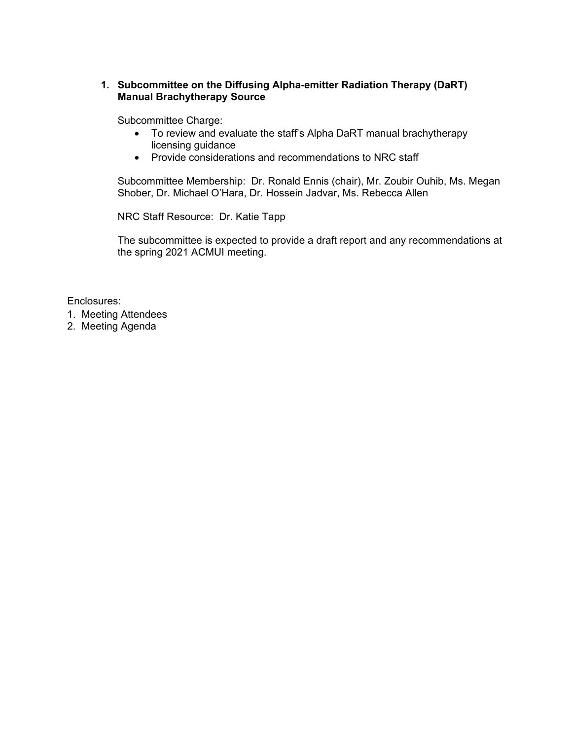# **1. Subcommittee on the Diffusing Alpha-emitter Radiation Therapy (DaRT) Manual Brachytherapy Source**

Subcommittee Charge:

- To review and evaluate the staff's Alpha DaRT manual brachytherapy licensing guidance
- Provide considerations and recommendations to NRC staff

Subcommittee Membership: Dr. Ronald Ennis (chair), Mr. Zoubir Ouhib, Ms. Megan Shober, Dr. Michael O'Hara, Dr. Hossein Jadvar, Ms. Rebecca Allen

NRC Staff Resource: Dr. Katie Tapp

The subcommittee is expected to provide a draft report and any recommendations at the spring 2021 ACMUI meeting.

Enclosures:

- 1. Meeting Attendees
- 2. Meeting Agenda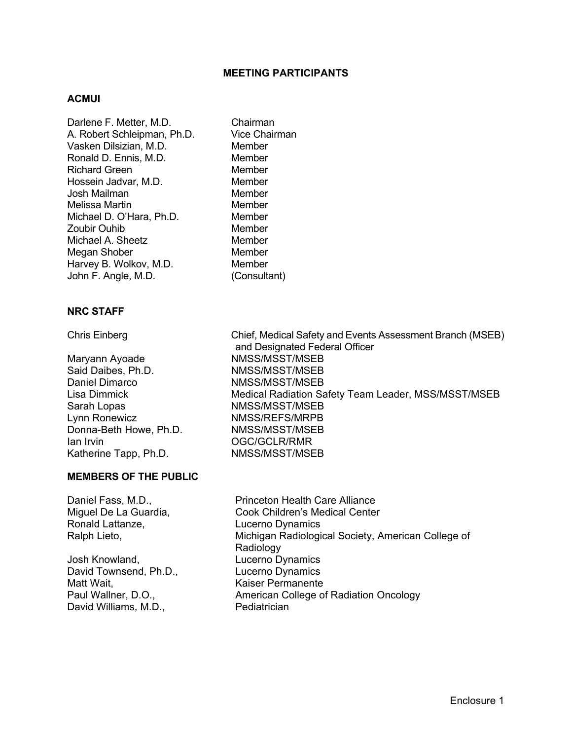# **MEETING PARTICIPANTS**

#### **ACMUI**

Darlene F. Metter, M.D. Chairman A. Robert Schleipman, Ph.D. Vice Chairman Vasken Dilsizian, M.D. Member Ronald D. Ennis, M.D. **Member**<br>Richard Green **Member Richard Green** Hossein Jadvar, M.D. Member Josh Mailman Member Melissa Martin **Member** Member Michael D. O'Hara, Ph.D. Member Zoubir Ouhib Member Michael A. Sheetz **Member** Megan Shober Member Harvey B. Wolkov, M.D. Member John F. Angle, M.D. (Consultant)

# **NRC STAFF**

Maryann Ayoade NMSS/MSST/MSEB Said Daibes, Ph.D. NMSS/MSST/MSEB Daniel Dimarco NMSS/MSST/MSEB Sarah Lopas NMSS/MSST/MSEB Lynn Ronewicz NMSS/REFS/MRPB Donna-Beth Howe, Ph.D. NMSS/MSST/MSEB Ian Irvin OGC/GCLR/RMR Katherine Tapp, Ph.D. NMSS/MSST/MSEB

## **MEMBERS OF THE PUBLIC**

Ronald Lattanze, Lucerno Dynamics

Josh Knowland, Lucerno Dynamics David Townsend, Ph.D., Lucerno Dynamics Matt Wait, Matt Waiser Permanente David Williams, M.D., Pediatrician

Daniel Fass, M.D., **Princeton Health Care Alliance** Miguel De La Guardia, Cook Children's Medical Center Ralph Lieto, **Michigan Radiological Society, American College of** Michigan Radiological Society, American College of Radiology Paul Wallner, D.O., **American College of Radiation Oncology** 

Chris Einberg Chief, Medical Safety and Events Assessment Branch (MSEB) and Designated Federal Officer Lisa Dimmick Medical Radiation Safety Team Leader, MSS/MSST/MSEB